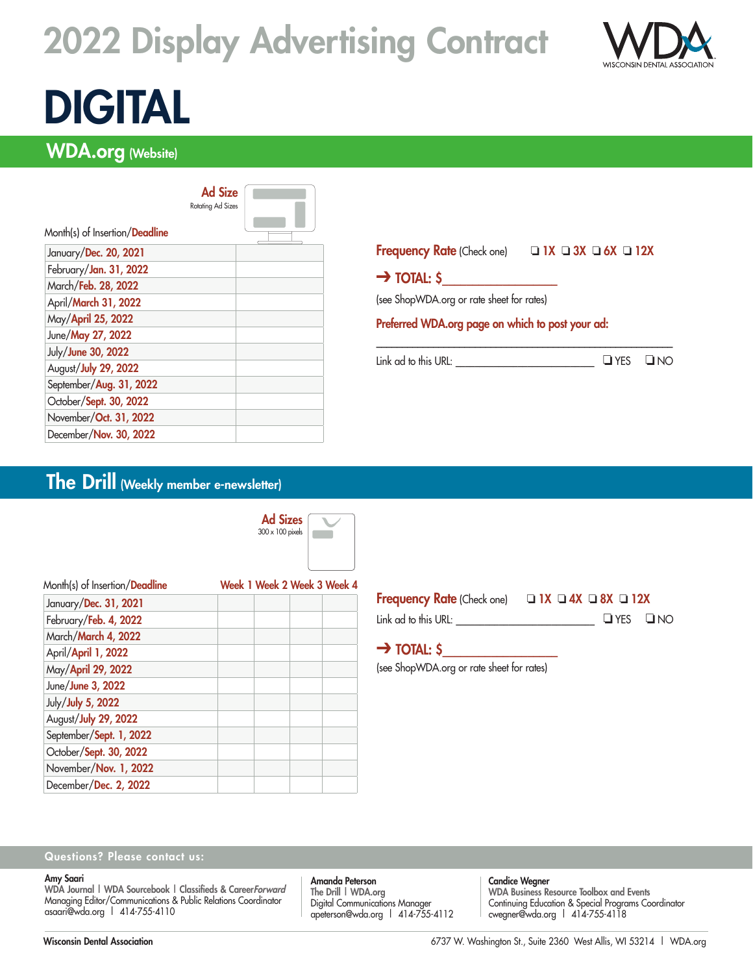# 2022 Display Advertising Contract



# DIGITAL

# WDA.org (Website)

|                                | <b>Ad Size</b><br><b>Rotating Ad Sizes</b> |  |
|--------------------------------|--------------------------------------------|--|
| Month(s) of Insertion/Deadline |                                            |  |
| January/Dec. 20, 2021          |                                            |  |
| February/Jan. 31, 2022         |                                            |  |
| March/Feb. 28, 2022            |                                            |  |
| April/March 31, 2022           |                                            |  |
| May/April 25, 2022             |                                            |  |
| June/May 27, 2022              |                                            |  |
| July/June 30, 2022             |                                            |  |
| August/July 29, 2022           |                                            |  |
| September/Aug. 31, 2022        |                                            |  |
| October/Sept. 30, 2022         |                                            |  |
| November/Oct. 31, 2022         |                                            |  |
| December/Nov. 30, 2022         |                                            |  |

### Frequency Rate (Check one)  $\Box$  1X  $\Box$  3X  $\Box$  6X  $\Box$  12X

(see ShopWDA.org or rate sheet for rates)

 $\rightarrow$  Total: \$

### Preferred WDA.org page on which to post your ad:

 $Link ad to this URL:$   $QNCS$   $QNOC$ 

\_\_\_\_\_\_\_\_\_\_\_\_\_\_\_\_\_\_\_\_\_\_\_\_\_\_\_\_\_\_\_\_\_\_\_\_\_\_\_\_\_\_\_\_\_\_\_\_\_\_\_\_\_\_\_\_\_

# The Drill (Weekly member e-newsletter)



| Month(s) of Insertion/Deadline |  | Week 1 Week 2 Week 3 Week 4 |
|--------------------------------|--|-----------------------------|
| January/Dec. 31, 2021          |  |                             |
| February/Feb. 4, 2022          |  |                             |
| March/March 4, 2022            |  |                             |
| April/April 1, 2022            |  |                             |
| May/April 29, 2022             |  |                             |
| June/June 3, 2022              |  |                             |
| July/July 5, 2022              |  |                             |
| August/July 29, 2022           |  |                             |
| September/Sept. 1, 2022        |  |                             |
| October/Sept. 30, 2022         |  |                             |
| November/Nov. 1, 2022          |  |                             |
| December/Dec. 2, 2022          |  |                             |

| <b>Frequency Rate (Check one)</b> | $\Box$ IX $\Box$ 4X $\Box$ 8X $\Box$ 12X |  |                      |
|-----------------------------------|------------------------------------------|--|----------------------|
| Link ad to this URL:              |                                          |  | $\Box$ YES $\Box$ NO |

# $\rightarrow$  TOTAL: \$

(see ShopWDA.org or rate sheet for rates)

### Questions? Please contact us:

#### Amy Saari

WDA Journal | WDA Sourcebook | Classifieds & CareerForward Managing Editor/Communications & Public Relations Coordinator asaari@wda.org | 414-755-4110

Amanda Peterson The Drill | WDA.org Digital Communications Manager apeterson@wda.org | 414-755-4112 Candice Wegner

WDA Business Resource Toolbox and Events Continuing Education & Special Programs Coordinator cwegner@wda.org | 414-755-4118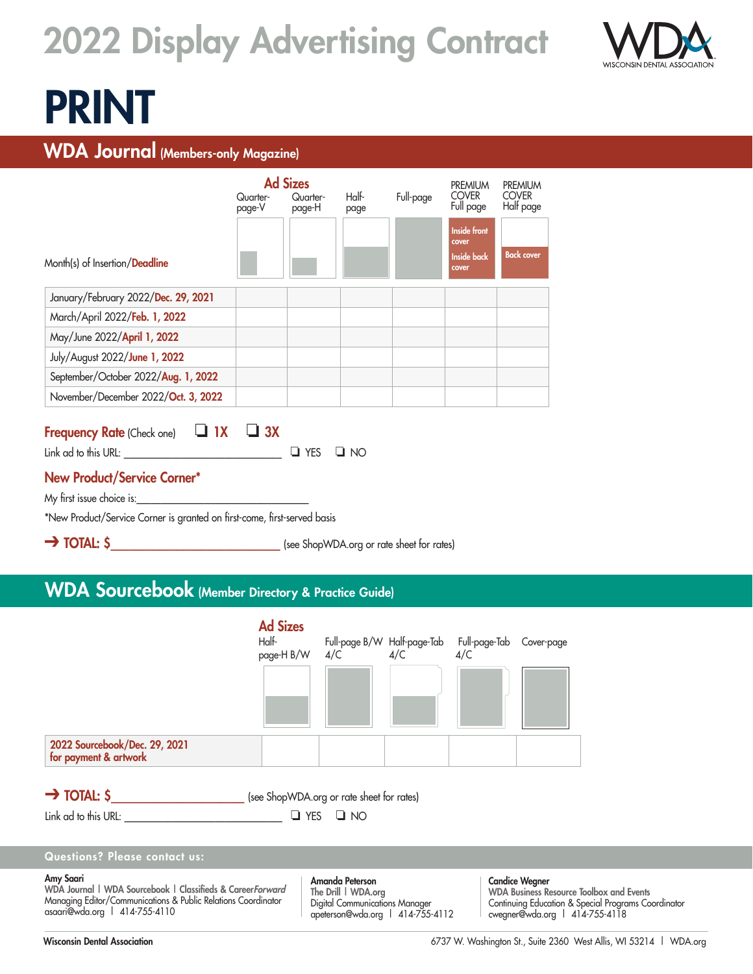# 2022 Display Advertising Contract



# PRINT

# WDA Journal (Members-only Magazine)

|                                     | Quarter-<br>page-V | <b>Ad Sizes</b><br>Quarter-<br>page-H | Half-<br>page | Full-page | <b>PREMIUM</b><br><b>COVER</b><br>Full page                 | <b>PREMIUM</b><br><b>COVER</b><br>Half page |
|-------------------------------------|--------------------|---------------------------------------|---------------|-----------|-------------------------------------------------------------|---------------------------------------------|
| Month(s) of Insertion/Deadline      |                    |                                       |               |           | <b>Inside front</b><br>cover<br><b>Inside back</b><br>cover | <b>Back cover</b>                           |
| January/February 2022/Dec. 29, 2021 |                    |                                       |               |           |                                                             |                                             |
| March/April 2022/Feb. 1, 2022       |                    |                                       |               |           |                                                             |                                             |
| May/June 2022/April 1, 2022         |                    |                                       |               |           |                                                             |                                             |
| July/August 2022/June 1, 2022       |                    |                                       |               |           |                                                             |                                             |
| September/October 2022/Aug. 1, 2022 |                    |                                       |               |           |                                                             |                                             |
| November/December 2022/Oct. 3, 2022 |                    |                                       |               |           |                                                             |                                             |

# Frequency Rate (Check one)  $\Box$  1X  $\Box$  3X

 $Link ad to this URL:$   $\Box$  YES  $\Box$  NO

## New Product/Service Corner\*

My first issue choice is:

\*New Product/Service Corner is granted on first-come, first-served basis

→ TOTAL: \$

# WDA Sourcebook (Member Directory & Practice Guide)

|                                                        | <b>Ad Sizes</b><br>Half-<br>page-H B/W | 4/C | Full-page B/W Half-page-Tab Full-page-Tab Cover-page<br>4/C 4/C 4/C 4/C |  |
|--------------------------------------------------------|----------------------------------------|-----|-------------------------------------------------------------------------|--|
|                                                        |                                        |     |                                                                         |  |
| 2022 Sourcebook/Dec. 29, 2021<br>for payment & artwork |                                        |     |                                                                         |  |

→ TOTAL: \$

 $\Box$  Ink ad to this URL:  $\Box$  YES  $\Box$  NO

Questions? Please contact us:

#### Amy Saari

WDA Journal | WDA Sourcebook | Classifieds & CareerForward Managing Editor/Communications & Public Relations Coordinator asaari@wda.org | 414-755-4110

Amanda Peterson The Drill | WDA.org Digital Communications Manager apeterson@wda.org | 414-755-4112

Candice Wegner WDA Business Resource Toolbox and Events Continuing Education & Special Programs Coordinator cwegner@wda.org | 414-755-4118